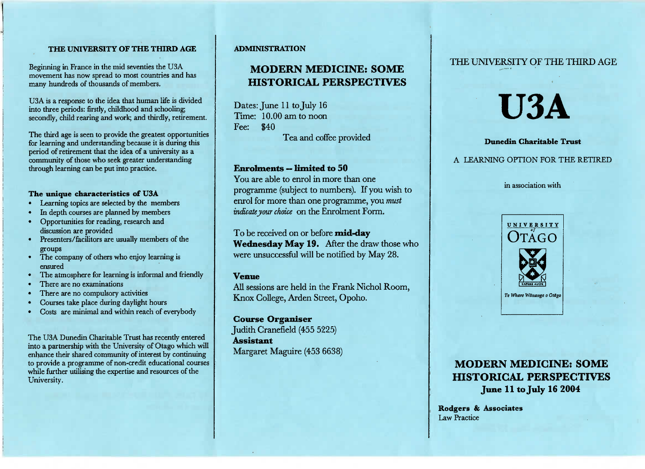#### **THE UNIVERSITY OF THE THIRD AGE**

Beginning in France in the mid seventies the USA movement has now spread to most countries and hasmany hundreds of thousands of members.

USA is a response to the idea that human life is divided into three periods: firstly, childhood and schooling;secondly, child rearing and work; and thirdly, retirement.

The third age is seen to provide the greatest opportunities for learning and understanding because it is during this period of retirement that the idea of a university as a community of those who seek greater understandingthrough learning can be put into practice.

#### **The unique characteristics of U3A**

- Learning topics are selected by the members
- In depth courses are planned by members
- Opportunities for reading, research anddiscussion are provided
- Presenters/facilitors are usually members of thegroups
- The company of others who enjoy learning isensured
- The atmosphere for learning is informal and friendly
- There are no examinations
- There are no compulsory activities
- Courses take place during daylight hours
- Costs are minimal and within reach of everybody

The USA Dunedin Charitable Trust has recently entered into a partnership with the University of Otago which will enhance their shared community of interest by continuing to provide a programme of non-credit educational courseswhile further utilising the expertise and resources of theUniversity.

#### **ADMINISTRATION**

# **MODERN MEDICINE: SOMEHISTORICAL PERSPECTIVES**

Dates: June 11 to July 16 Time: 10.00 am to noon Fee: \$40Tea and coffee provided

#### **Enrolments — limited to 50**

 You are able to enrol in more than one programme (subject to numbers). If you wish to enrol for more than one programme, you *mustindicate your choice* on the Enrolment Form.

To be received on or before **mid-day Wednesday May 19.** After the draw those whowere unsuccessful will be notified by May 28.

### **Venue**

 All sessions are held in the Frank Nichol Room,Knox College, Arden Street, Opoho.

**Course Organiser** Judith Cranefield (455 5225) **Assistant**Margaret Maguire (453 6638) THE UNIVERSITY OF THE THIRD AGE

# **USA**

#### **Dunedin Charitable Trust**

## A LEARNING OPTION FOR THE RETIRED

in association with



# **MODERN MEDICINE: SOME HISTORICAL PERSPECTIVESJune 11 to July 16 2004**

**Rodgers & Associates**Law Practice